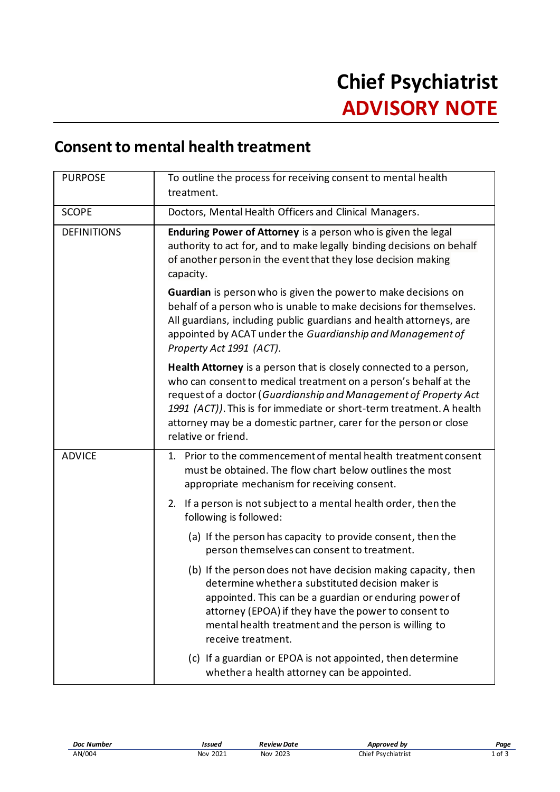## **Consent to mental health treatment**

| <b>PURPOSE</b>     | To outline the process for receiving consent to mental health<br>treatment.                                                                                                                                                                                                                                                                                                    |
|--------------------|--------------------------------------------------------------------------------------------------------------------------------------------------------------------------------------------------------------------------------------------------------------------------------------------------------------------------------------------------------------------------------|
| <b>SCOPE</b>       | Doctors, Mental Health Officers and Clinical Managers.                                                                                                                                                                                                                                                                                                                         |
| <b>DEFINITIONS</b> | Enduring Power of Attorney is a person who is given the legal<br>authority to act for, and to make legally binding decisions on behalf<br>of another person in the event that they lose decision making<br>capacity.                                                                                                                                                           |
|                    | <b>Guardian</b> is person who is given the power to make decisions on<br>behalf of a person who is unable to make decisions for themselves.<br>All guardians, including public guardians and health attorneys, are<br>appointed by ACAT under the Guardianship and Management of<br>Property Act 1991 (ACT).                                                                   |
|                    | Health Attorney is a person that is closely connected to a person,<br>who can consent to medical treatment on a person's behalf at the<br>request of a doctor (Guardianship and Management of Property Act<br>1991 (ACT)). This is for immediate or short-term treatment. A health<br>attorney may be a domestic partner, carer for the person or close<br>relative or friend. |
| <b>ADVICE</b>      | Prior to the commencement of mental health treatment consent<br>1.<br>must be obtained. The flow chart below outlines the most<br>appropriate mechanism for receiving consent.                                                                                                                                                                                                 |
|                    | 2. If a person is not subject to a mental health order, then the<br>following is followed:                                                                                                                                                                                                                                                                                     |
|                    | (a) If the person has capacity to provide consent, then the<br>person themselves can consent to treatment.                                                                                                                                                                                                                                                                     |
|                    | (b) If the person does not have decision making capacity, then<br>determine whether a substituted decision maker is<br>appointed. This can be a guardian or enduring power of<br>attorney (EPOA) if they have the power to consent to<br>mental health treatment and the person is willing to<br>receive treatment.                                                            |
|                    | (c) If a guardian or EPOA is not appointed, then determine<br>whether a health attorney can be appointed.                                                                                                                                                                                                                                                                      |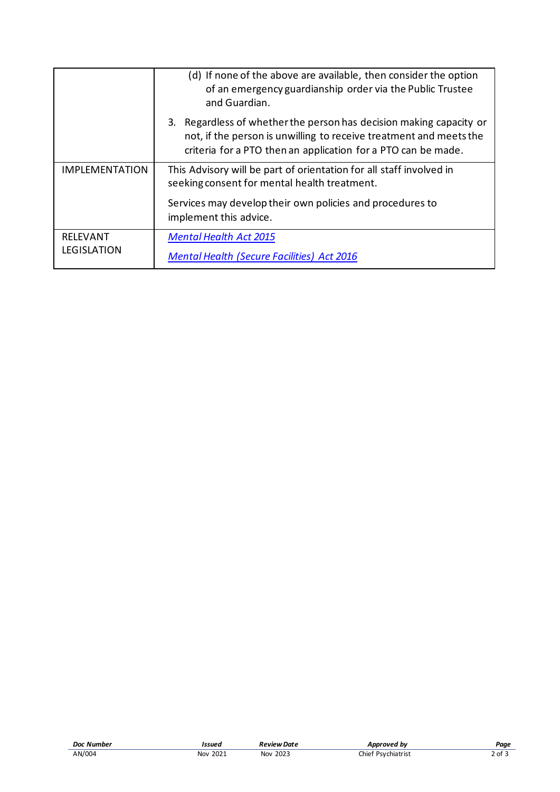|                                       | (d) If none of the above are available, then consider the option<br>of an emergency guardianship order via the Public Trustee<br>and Guardian.                                                             |
|---------------------------------------|------------------------------------------------------------------------------------------------------------------------------------------------------------------------------------------------------------|
|                                       | 3. Regardless of whether the person has decision making capacity or<br>not, if the person is unwilling to receive treatment and meets the<br>criteria for a PTO then an application for a PTO can be made. |
| <b>IMPLEMENTATION</b>                 | This Advisory will be part of orientation for all staff involved in<br>seeking consent for mental health treatment.                                                                                        |
|                                       | Services may develop their own policies and procedures to<br>implement this advice.                                                                                                                        |
| <b>RELEVANT</b><br><b>LEGISLATION</b> | <b>Mental Health Act 2015</b><br><b>Mental Health (Secure Facilities) Act 2016</b>                                                                                                                         |